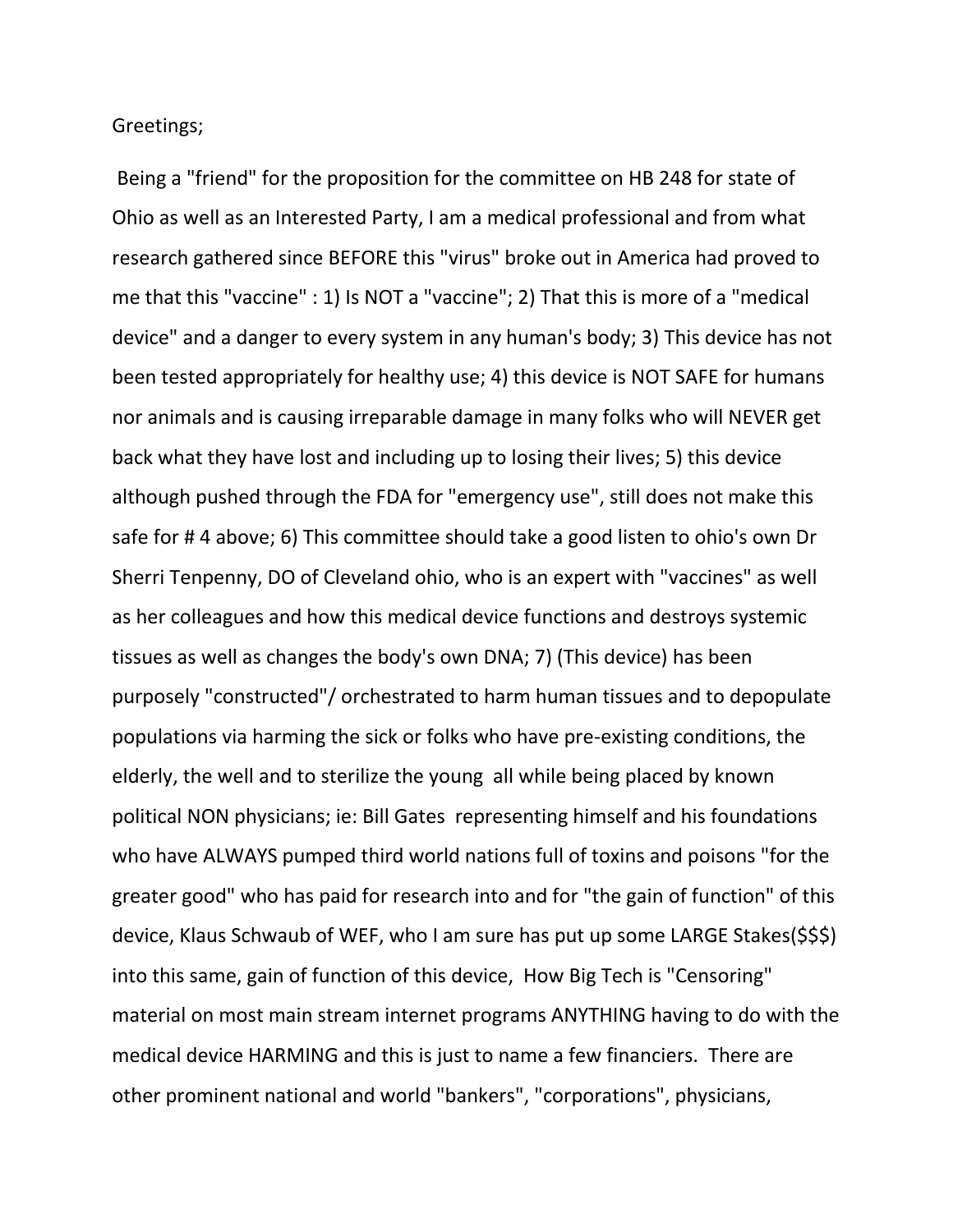Greetings;

Being a "friend" for the proposition for the committee on HB 248 for state of Ohio as well as an Interested Party, I am a medical professional and from what research gathered since BEFORE this "virus" broke out in America had proved to me that this "vaccine" : 1) Is NOT a "vaccine"; 2) That this is more of a "medical device" and a danger to every system in any human's body; 3) This device has not been tested appropriately for healthy use; 4) this device is NOT SAFE for humans nor animals and is causing irreparable damage in many folks who will NEVER get back what they have lost and including up to losing their lives; 5) this device although pushed through the FDA for "emergency use", still does not make this safe for # 4 above; 6) This committee should take a good listen to ohio's own Dr Sherri Tenpenny, DO of Cleveland ohio, who is an expert with "vaccines" as well as her colleagues and how this medical device functions and destroys systemic tissues as well as changes the body's own DNA; 7) (This device) has been purposely "constructed"/ orchestrated to harm human tissues and to depopulate populations via harming the sick or folks who have pre-existing conditions, the elderly, the well and to sterilize the young all while being placed by known political NON physicians; ie: Bill Gates representing himself and his foundations who have ALWAYS pumped third world nations full of toxins and poisons "for the greater good" who has paid for research into and for "the gain of function" of this device, Klaus Schwaub of WEF, who I am sure has put up some LARGE Stakes(\$\$\$) into this same, gain of function of this device, How Big Tech is "Censoring" material on most main stream internet programs ANYTHING having to do with the medical device HARMING and this is just to name a few financiers. There are other prominent national and world "bankers", "corporations", physicians,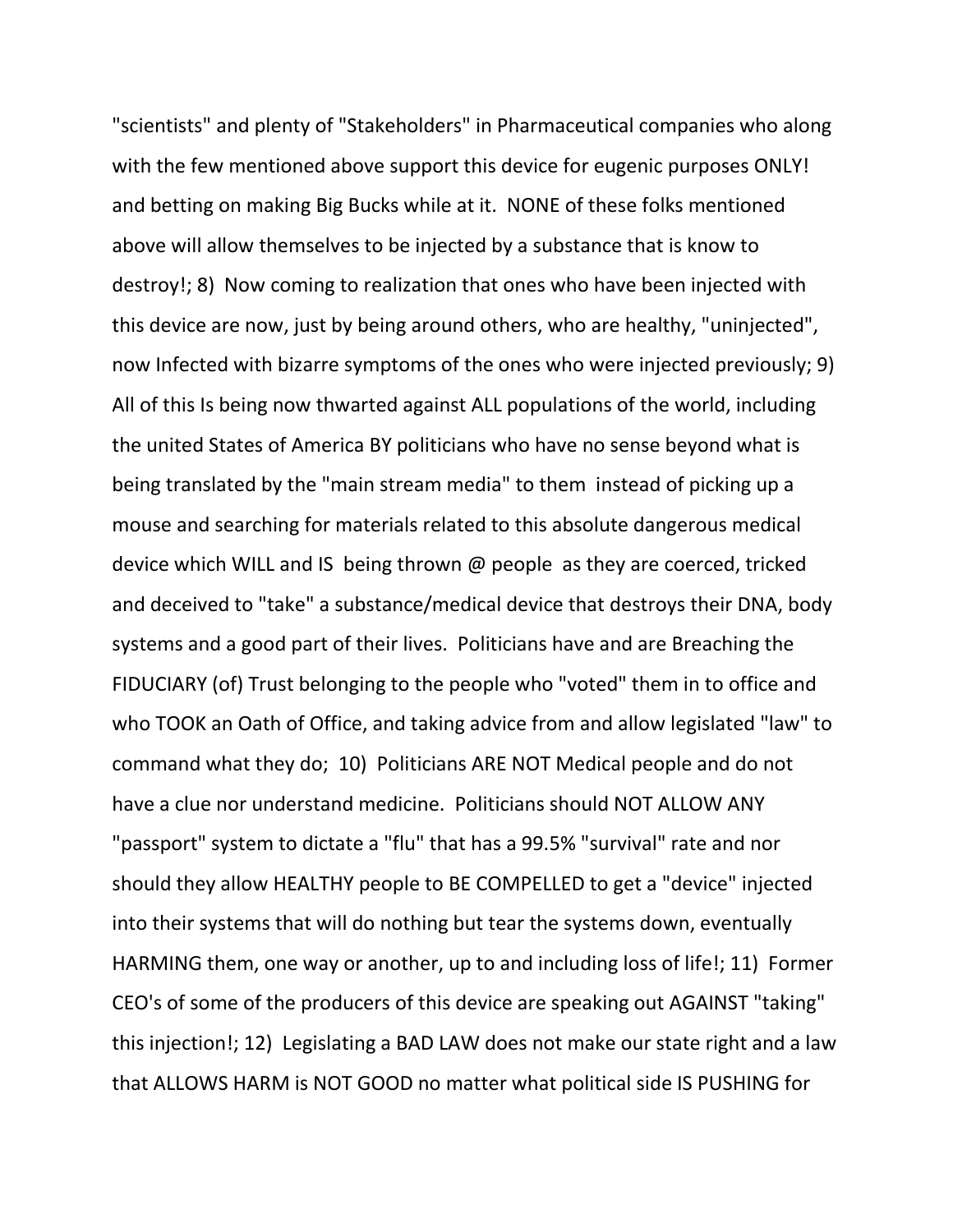"scientists" and plenty of "Stakeholders" in Pharmaceutical companies who along with the few mentioned above support this device for eugenic purposes ONLY! and betting on making Big Bucks while at it. NONE of these folks mentioned above will allow themselves to be injected by a substance that is know to destroy!; 8) Now coming to realization that ones who have been injected with this device are now, just by being around others, who are healthy, "uninjected", now Infected with bizarre symptoms of the ones who were injected previously; 9) All of this Is being now thwarted against ALL populations of the world, including the united States of America BY politicians who have no sense beyond what is being translated by the "main stream media" to them instead of picking up a mouse and searching for materials related to this absolute dangerous medical device which WILL and IS being thrown @ people as they are coerced, tricked and deceived to "take" a substance/medical device that destroys their DNA, body systems and a good part of their lives. Politicians have and are Breaching the FIDUCIARY (of) Trust belonging to the people who "voted" them in to office and who TOOK an Oath of Office, and taking advice from and allow legislated "law" to command what they do; 10) Politicians ARE NOT Medical people and do not have a clue nor understand medicine. Politicians should NOT ALLOW ANY "passport" system to dictate a "flu" that has a 99.5% "survival" rate and nor should they allow HEALTHY people to BE COMPELLED to get a "device" injected into their systems that will do nothing but tear the systems down, eventually HARMING them, one way or another, up to and including loss of life!; 11) Former CEO's of some of the producers of this device are speaking out AGAINST "taking" this injection!; 12) Legislating a BAD LAW does not make our state right and a law that ALLOWS HARM is NOT GOOD no matter what political side IS PUSHING for